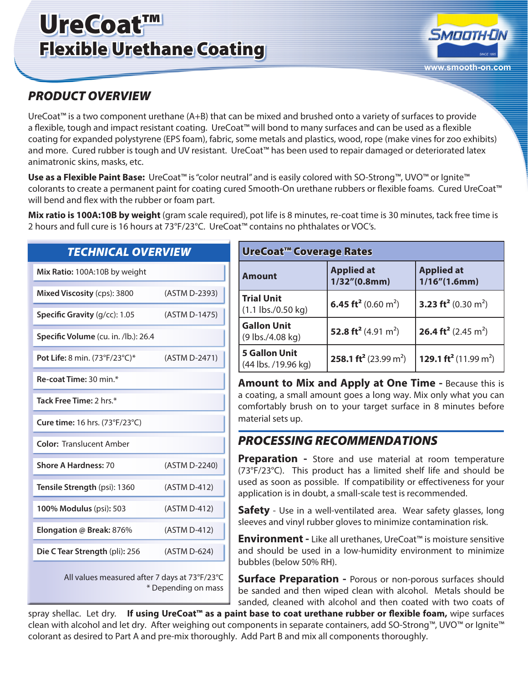# UreCoat™ Flexible Urethane Coating



## *PRODUCT OVERVIEW*

UreCoat™ is a two component urethane (A+B) that can be mixed and brushed onto a variety of surfaces to provide a flexible, tough and impact resistant coating. UreCoat™ will bond to many surfaces and can be used as a flexible coating for expanded polystyrene (EPS foam), fabric, some metals and plastics, wood, rope (make vines for zoo exhibits) and more. Cured rubber is tough and UV resistant. UreCoat™ has been used to repair damaged or deteriorated latex animatronic skins, masks, etc.

**Use as a Flexible Paint Base:** UreCoat™ is "color neutral" and is easily colored with SO-Strong™, UVO™ or Ignite™ colorants to create a permanent paint for coating cured Smooth-On urethane rubbers or flexible foams. Cured UreCoat™ will bend and flex with the rubber or foam part.

**Mix ratio is 100A:10B by weight** (gram scale required), pot life is 8 minutes, re-coat time is 30 minutes, tack free time is 2 hours and full cure is 16 hours at 73°F/23°C. UreCoat™ contains no phthalates or VOC's.

#### **TECHNICAL OVERVIEW**

| Mix Ratio: 100A:10B by weight                 |               |  |
|-----------------------------------------------|---------------|--|
| Mixed Viscosity (cps): 3800                   | (ASTM D-2393) |  |
| Specific Gravity (g/cc): 1.05                 | (ASTM D-1475) |  |
| Specific Volume (cu. in. /lb.): 26.4          |               |  |
| Pot Life: 8 min. (73°F/23°C)*                 | (ASTM D-2471) |  |
| Re-coat Time: 30 min.*                        |               |  |
| Tack Free Time: 2 hrs.*                       |               |  |
| <b>Cure time:</b> 16 hrs. (73°F/23°C)         |               |  |
| <b>Color: Translucent Amber</b>               |               |  |
| <b>Shore A Hardness: 70</b>                   | (ASTM D-2240) |  |
| Tensile Strength (psi): 1360                  | (ASTM D-412)  |  |
| 100% Modulus (psi): 503                       | (ASTM D-412)  |  |
| Elongation @ Break: 876%                      | (ASTM D-412)  |  |
| Die CTear Strength (pli): 256                 | (ASTM D-624)  |  |
| All values measured after 7 days at 73°F/23°C |               |  |

All values measured after 7 days at 73°F/23°C \* Depending on mass

| <b>UreCoat™ Coverage Rates</b>              |                                               |                                               |
|---------------------------------------------|-----------------------------------------------|-----------------------------------------------|
| <b>Amount</b>                               | <b>Applied at</b><br>1/32''(0.8mm)            | <b>Applied at</b><br>1/16''(1.6mm)            |
| <b>Trial Unit</b><br>$(1.1$ lbs./0.50 kg)   | 6.45 ft <sup>2</sup> (0.60 m <sup>2</sup> )   | 3.23 ft <sup>2</sup> (0.30 m <sup>2</sup> )   |
| <b>Gallon Unit</b><br>(9 lbs./4.08 kg)      | 52.8 ft <sup>2</sup> (4.91 m <sup>2</sup> )   | 26.4 ft <sup>2</sup> (2.45 m <sup>2</sup> )   |
| <b>5 Gallon Unit</b><br>(44 lbs. /19.96 kg) | 258.1 ft <sup>2</sup> (23.99 m <sup>2</sup> ) | 129.1 ft <sup>2</sup> (11.99 m <sup>2</sup> ) |

**Amount to Mix and Apply at One Time -** Because this is a coating, a small amount goes a long way. Mix only what you can comfortably brush on to your target surface in 8 minutes before material sets up.

### *PROCESSING RECOMMENDATIONS*

**Preparation -** Store and use material at room temperature (73°F/23°C). This product has a limited shelf life and should be used as soon as possible. If compatibility or effectiveness for your application is in doubt, a small-scale test is recommended.

**Safety** - Use in a well-ventilated area. Wear safety glasses, long sleeves and vinyl rubber gloves to minimize contamination risk.

**Environment -** Like all urethanes, UreCoat™ is moisture sensitive and should be used in a low-humidity environment to minimize bubbles (below 50% RH).

**Surface Preparation - Porous or non-porous surfaces should** be sanded and then wiped clean with alcohol. Metals should be sanded, cleaned with alcohol and then coated with two coats of

spray shellac. Let dry. **If using UreCoat™ as a paint base to coat urethane rubber or flexible foam,** wipe surfaces clean with alcohol and let dry. After weighing out components in separate containers, add SO-Strong™, UVO™ or Ignite™ colorant as desired to Part A and pre-mix thoroughly. Add Part B and mix all components thoroughly.